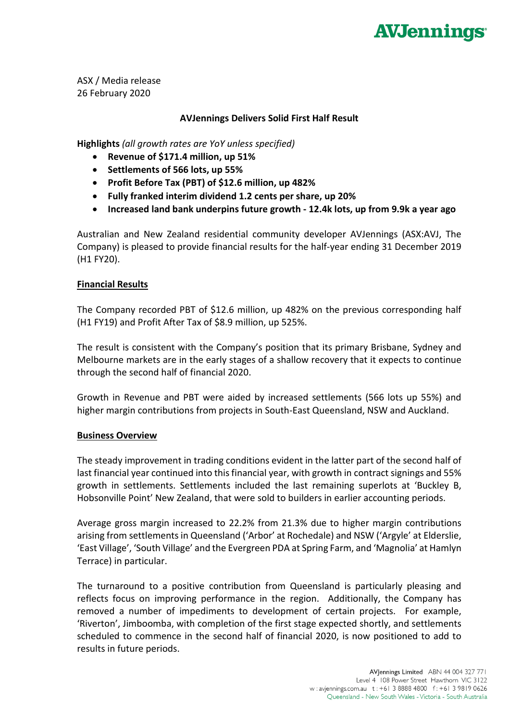# **AVJennings**

ASX / Media release 26 February 2020

# **AVJennings Delivers Solid First Half Result**

**Highlights** *(all growth rates are YoY unless specified)*

- **Revenue of \$171.4 million, up 51%**
- **Settlements of 566 lots, up 55%**
- **Profit Before Tax (PBT) of \$12.6 million, up 482%**
- **Fully franked interim dividend 1.2 cents per share, up 20%**
- **Increased land bank underpins future growth - 12.4k lots, up from 9.9k a year ago**

Australian and New Zealand residential community developer AVJennings (ASX:AVJ, The Company) is pleased to provide financial results for the half-year ending 31 December 2019 (H1 FY20).

### **Financial Results**

The Company recorded PBT of \$12.6 million, up 482% on the previous corresponding half (H1 FY19) and Profit After Tax of \$8.9 million, up 525%.

The result is consistent with the Company's position that its primary Brisbane, Sydney and Melbourne markets are in the early stages of a shallow recovery that it expects to continue through the second half of financial 2020.

Growth in Revenue and PBT were aided by increased settlements (566 lots up 55%) and higher margin contributions from projects in South-East Queensland, NSW and Auckland.

### **Business Overview**

The steady improvement in trading conditions evident in the latter part of the second half of last financial year continued into this financial year, with growth in contract signings and 55% growth in settlements. Settlements included the last remaining superlots at 'Buckley B, Hobsonville Point' New Zealand, that were sold to builders in earlier accounting periods.

Average gross margin increased to 22.2% from 21.3% due to higher margin contributions arising from settlements in Queensland ('Arbor' at Rochedale) and NSW ('Argyle' at Elderslie, 'East Village', 'South Village' and the Evergreen PDA at Spring Farm, and 'Magnolia' at Hamlyn Terrace) in particular.

The turnaround to a positive contribution from Queensland is particularly pleasing and reflects focus on improving performance in the region. Additionally, the Company has removed a number of impediments to development of certain projects. For example, 'Riverton', Jimboomba, with completion of the first stage expected shortly, and settlements scheduled to commence in the second half of financial 2020, is now positioned to add to results in future periods.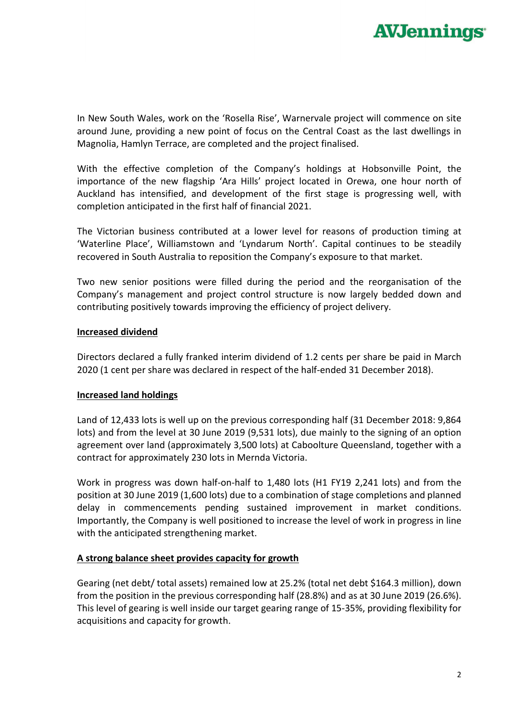

In New South Wales, work on the 'Rosella Rise', Warnervale project will commence on site around June, providing a new point of focus on the Central Coast as the last dwellings in Magnolia, Hamlyn Terrace, are completed and the project finalised.

With the effective completion of the Company's holdings at Hobsonville Point, the importance of the new flagship 'Ara Hills' project located in Orewa, one hour north of Auckland has intensified, and development of the first stage is progressing well, with completion anticipated in the first half of financial 2021.

The Victorian business contributed at a lower level for reasons of production timing at 'Waterline Place', Williamstown and 'Lyndarum North'. Capital continues to be steadily recovered in South Australia to reposition the Company's exposure to that market.

Two new senior positions were filled during the period and the reorganisation of the Company's management and project control structure is now largely bedded down and contributing positively towards improving the efficiency of project delivery.

#### **Increased dividend**

Directors declared a fully franked interim dividend of 1.2 cents per share be paid in March 2020 (1 cent per share was declared in respect of the half-ended 31 December 2018).

### **Increased land holdings**

Land of 12,433 lots is well up on the previous corresponding half (31 December 2018: 9,864 lots) and from the level at 30 June 2019 (9,531 lots), due mainly to the signing of an option agreement over land (approximately 3,500 lots) at Caboolture Queensland, together with a contract for approximately 230 lots in Mernda Victoria.

Work in progress was down half-on-half to 1,480 lots (H1 FY19 2,241 lots) and from the position at 30 June 2019 (1,600 lots) due to a combination of stage completions and planned delay in commencements pending sustained improvement in market conditions. Importantly, the Company is well positioned to increase the level of work in progress in line with the anticipated strengthening market.

### **A strong balance sheet provides capacity for growth**

Gearing (net debt/ total assets) remained low at 25.2% (total net debt \$164.3 million), down from the position in the previous corresponding half (28.8%) and as at 30 June 2019 (26.6%). This level of gearing is well inside our target gearing range of 15-35%, providing flexibility for acquisitions and capacity for growth.